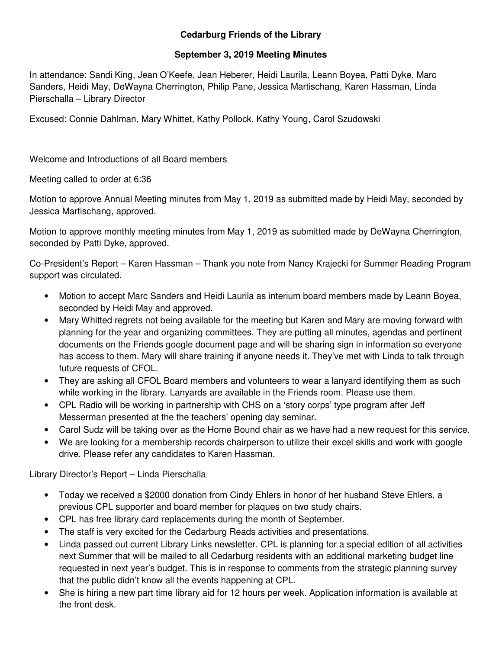## **Cedarburg Friends of the Library**

## **September 3, 2019 Meeting Minutes**

In attendance: Sandi King, Jean O'Keefe, Jean Heberer, Heidi Laurila, Leann Boyea, Patti Dyke, Marc Sanders, Heidi May, DeWayna Cherrington, Philip Pane, Jessica Martischang, Karen Hassman, Linda Pierschalla – Library Director

Excused: Connie Dahlman, Mary Whittet, Kathy Pollock, Kathy Young, Carol Szudowski

Welcome and Introductions of all Board members

Meeting called to order at 6:36

Motion to approve Annual Meeting minutes from May 1, 2019 as submitted made by Heidi May, seconded by Jessica Martischang, approved.

Motion to approve monthly meeting minutes from May 1, 2019 as submitted made by DeWayna Cherrington, seconded by Patti Dyke, approved.

Co-President's Report – Karen Hassman – Thank you note from Nancy Krajecki for Summer Reading Program support was circulated.

- Motion to accept Marc Sanders and Heidi Laurila as interium board members made by Leann Boyea, seconded by Heidi May and approved.
- Mary Whitted regrets not being available for the meeting but Karen and Mary are moving forward with planning for the year and organizing committees. They are putting all minutes, agendas and pertinent documents on the Friends google document page and will be sharing sign in information so everyone has access to them. Mary will share training if anyone needs it. They've met with Linda to talk through future requests of CFOL.
- They are asking all CFOL Board members and volunteers to wear a lanyard identifying them as such while working in the library. Lanyards are available in the Friends room. Please use them.
- CPL Radio will be working in partnership with CHS on a 'story corps' type program after Jeff Messerman presented at the the teachers' opening day seminar.
- Carol Sudz will be taking over as the Home Bound chair as we have had a new request for this service.
- We are looking for a membership records chairperson to utilize their excel skills and work with google drive. Please refer any candidates to Karen Hassman.

Library Director's Report – Linda Pierschalla

- Today we received a \$2000 donation from Cindy Ehlers in honor of her husband Steve Ehlers, a previous CPL supporter and board member for plaques on two study chairs.
- CPL has free library card replacements during the month of September.
- The staff is very excited for the Cedarburg Reads activities and presentations.
- Linda passed out current Library Links newsletter. CPL is planning for a special edition of all activities next Summer that will be mailed to all Cedarburg residents with an additional marketing budget line requested in next year's budget. This is in response to comments from the strategic planning survey that the public didn't know all the events happening at CPL.
- She is hiring a new part time library aid for 12 hours per week. Application information is available at the front desk.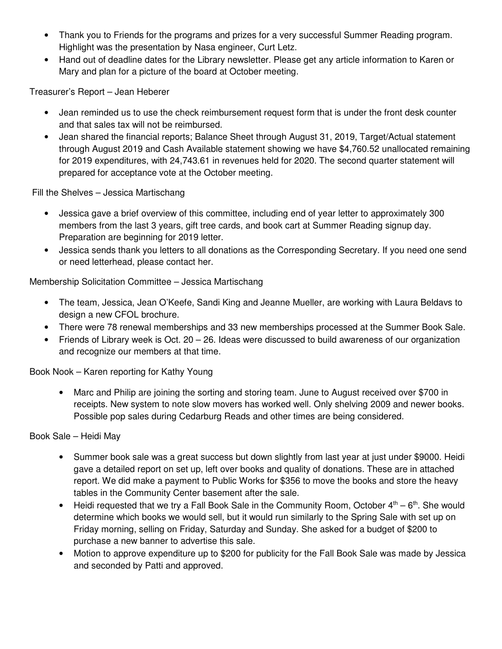- Thank you to Friends for the programs and prizes for a very successful Summer Reading program. Highlight was the presentation by Nasa engineer, Curt Letz.
- Hand out of deadline dates for the Library newsletter. Please get any article information to Karen or Mary and plan for a picture of the board at October meeting.

Treasurer's Report – Jean Heberer

- Jean reminded us to use the check reimbursement request form that is under the front desk counter and that sales tax will not be reimbursed.
- Jean shared the financial reports; Balance Sheet through August 31, 2019, Target/Actual statement through August 2019 and Cash Available statement showing we have \$4,760.52 unallocated remaining for 2019 expenditures, with 24,743.61 in revenues held for 2020. The second quarter statement will prepared for acceptance vote at the October meeting.

Fill the Shelves – Jessica Martischang

- Jessica gave a brief overview of this committee, including end of year letter to approximately 300 members from the last 3 years, gift tree cards, and book cart at Summer Reading signup day. Preparation are beginning for 2019 letter.
- Jessica sends thank you letters to all donations as the Corresponding Secretary. If you need one send or need letterhead, please contact her.

Membership Solicitation Committee – Jessica Martischang

- The team, Jessica, Jean O'Keefe, Sandi King and Jeanne Mueller, are working with Laura Beldavs to design a new CFOL brochure.
- There were 78 renewal memberships and 33 new memberships processed at the Summer Book Sale.
- Friends of Library week is Oct. 20 26. Ideas were discussed to build awareness of our organization and recognize our members at that time.

Book Nook – Karen reporting for Kathy Young

• Marc and Philip are joining the sorting and storing team. June to August received over \$700 in receipts. New system to note slow movers has worked well. Only shelving 2009 and newer books. Possible pop sales during Cedarburg Reads and other times are being considered.

Book Sale – Heidi May

- Summer book sale was a great success but down slightly from last year at just under \$9000. Heidi gave a detailed report on set up, left over books and quality of donations. These are in attached report. We did make a payment to Public Works for \$356 to move the books and store the heavy tables in the Community Center basement after the sale.
- Heidi requested that we try a Fall Book Sale in the Community Room, October  $4<sup>th</sup> 6<sup>th</sup>$ . She would determine which books we would sell, but it would run similarly to the Spring Sale with set up on Friday morning, selling on Friday, Saturday and Sunday. She asked for a budget of \$200 to purchase a new banner to advertise this sale.
- Motion to approve expenditure up to \$200 for publicity for the Fall Book Sale was made by Jessica and seconded by Patti and approved.